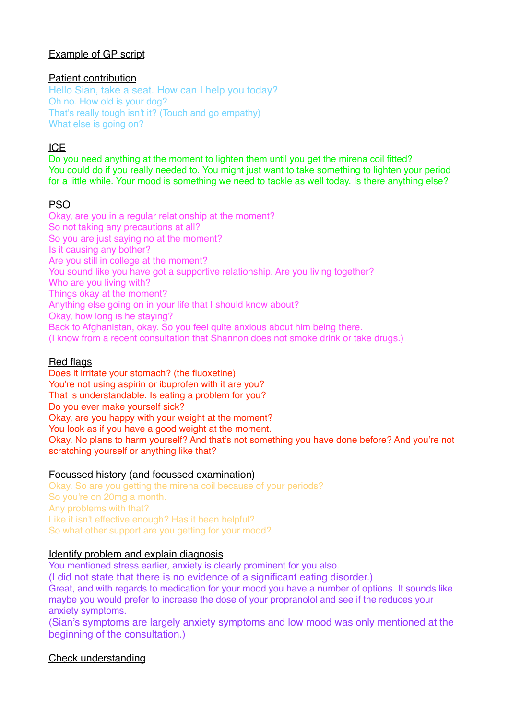## Example of GP script

## Patient contribution

Hello Sian, take a seat. How can I help you today? Oh no. How old is your dog? That's really tough isn't it? (Touch and go empathy) What else is going on?

# ICE

Do you need anything at the moment to lighten them until you get the mirena coil fitted? You could do if you really needed to. You might just want to take something to lighten your period for a little while. Your mood is something we need to tackle as well today. Is there anything else?

# **PSO**

Okay, are you in a regular relationship at the moment? So not taking any precautions at all? So you are just saying no at the moment? Is it causing any bother? Are you still in college at the moment? You sound like you have got a supportive relationship. Are you living together? Who are you living with? Things okay at the moment? Anything else going on in your life that I should know about? Okay, how long is he staying? Back to Afghanistan, okay. So you feel quite anxious about him being there. (I know from a recent consultation that Shannon does not smoke drink or take drugs.)

## Red flags

Does it irritate your stomach? (the fluoxetine) You're not using aspirin or ibuprofen with it are you? That is understandable. Is eating a problem for you? Do you ever make yourself sick? Okay, are you happy with your weight at the moment? You look as if you have a good weight at the moment. Okay. No plans to harm yourself? And that's not something you have done before? And you're not scratching yourself or anything like that?

## Focussed history (and focussed examination)

Okay. So are you getting the mirena coil because of your periods? So you're on 20mg a month. Any problems with that? Like it isn't effective enough? Has it been helpful? So what other support are you getting for your mood?

## Identify problem and explain diagnosis

You mentioned stress earlier, anxiety is clearly prominent for you also.

(I did not state that there is no evidence of a significant eating disorder.)

Great, and with regards to medication for your mood you have a number of options. It sounds like maybe you would prefer to increase the dose of your propranolol and see if the reduces your anxiety symptoms.

(Sian's symptoms are largely anxiety symptoms and low mood was only mentioned at the beginning of the consultation.)

## Check understanding